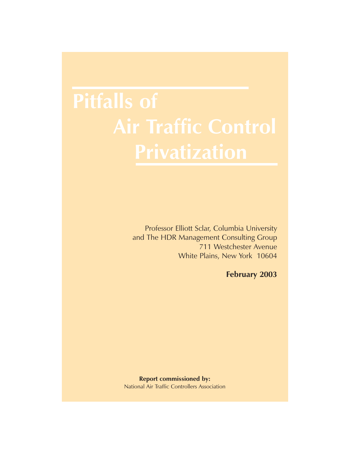Professor Elliott Sclar, Columbia University and The HDR Management Consulting Group 711 Westchester Avenue White Plains, New York 10604

**February 2003**

**Report commissioned by:** National Air Traffic Controllers Association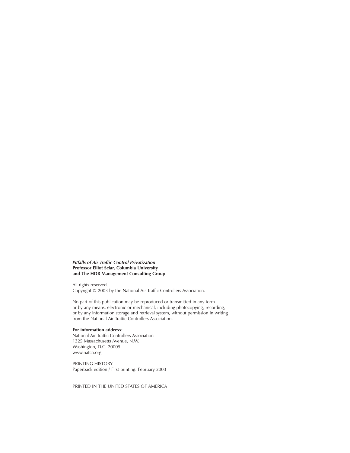*Pitfalls of Air Traffic Control Privatization* **Professor Elliot Sclar, Columbia University and The HDR Management Consulting Group**

All rights reserved. Copyright © 2003 by the National Air Traffic Controllers Association.

No part of this publication may be reproduced or transmitted in any form or by any means, electronic or mechanical, including photocopying, recording, or by any information storage and retrieval system, without permission in writing from the National Air Traffic Controllers Association.

**For information address:** National Air Traffic Controllers Association 1325 Massachusetts Avenue, N.W. Washington, D.C. 20005 www.natca.org

PRINTING HISTORY Paperback edition / First printing: February 2003

PRINTED IN THE UNITED STATES OF AMERICA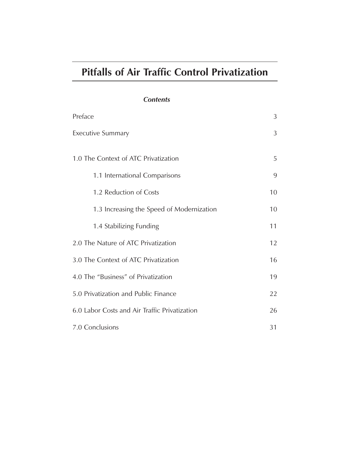# **Pitfalls of Air Traffic Control Privatization**

# *Contents*

| Preface                                       | 3  |
|-----------------------------------------------|----|
| <b>Executive Summary</b>                      | 3  |
| 1.0 The Context of ATC Privatization          | 5  |
| 1.1 International Comparisons                 | 9  |
| 1.2 Reduction of Costs                        | 10 |
| 1.3 Increasing the Speed of Modernization     | 10 |
| 1.4 Stabilizing Funding                       | 11 |
| 2.0 The Nature of ATC Privatization           | 12 |
| 3.0 The Context of ATC Privatization          | 16 |
| 4.0 The "Business" of Privatization           | 19 |
| 5.0 Privatization and Public Finance          | 22 |
| 6.0 Labor Costs and Air Traffic Privatization | 26 |
| 7.0 Conclusions                               | 31 |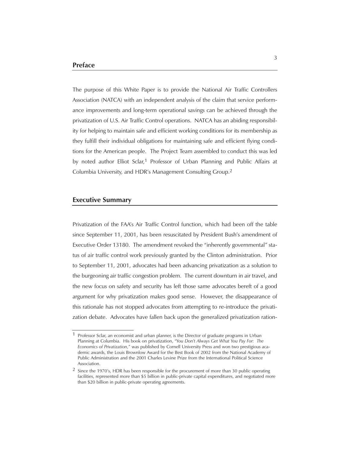The purpose of this White Paper is to provide the National Air Traffic Controllers Association (NATCA) with an independent analysis of the claim that service performance improvements and long-term operational savings can be achieved through the privatization of U.S. Air Traffic Control operations. NATCA has an abiding responsibility for helping to maintain safe and efficient working conditions for its membership as they fulfill their individual obligations for maintaining safe and efficient flying conditions for the American people. The Project Team assembled to conduct this was led by noted author Elliot Sclar,<sup>1</sup> Professor of Urban Planning and Public Affairs at Columbia University, and HDR's Management Consulting Group.2

#### **Executive Summary**

Privatization of the FAA's Air Traffic Control function, which had been off the table since September 11, 2001, has been resuscitated by President Bush's amendment of Executive Order 13180. The amendment revoked the "inherently governmental" status of air traffic control work previously granted by the Clinton administration. Prior to September 11, 2001, advocates had been advancing privatization as a solution to the burgeoning air traffic congestion problem. The current downturn in air travel, and the new focus on safety and security has left those same advocates bereft of a good argument for why privatization makes good sense. However, the disappearance of this rationale has not stopped advocates from attempting to re-introduce the privatization debate. Advocates have fallen back upon the generalized privatization ration-

<sup>1</sup> Professor Sclar, an economist and urban planner, is the Director of graduate programs in Urban Planning at Columbia. His book on privatization, "*You Don't Always Get What You Pay For: The Economics of Privatization*," was published by Cornell University Press and won two prestigious academic awards, the Louis Brownlow Award for the Best Book of 2002 from the National Academy of Public Administration and the 2001 Charles Levine Prize from the International Political Science Association.

<sup>2</sup> Since the 1970's, HDR has been responsible for the procurement of more than 30 public operating facilities, represented more than \$5 billion in public-private capital expenditures, and negotiated more than \$20 billion in public-private operating agreements.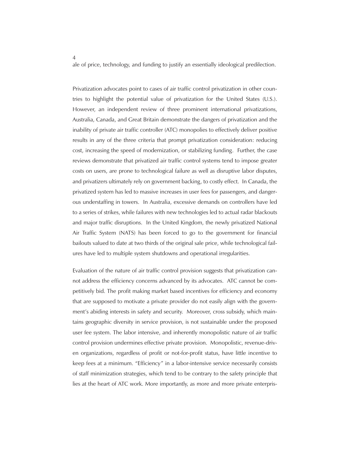ale of price, technology, and funding to justify an essentially ideological predilection.

Privatization advocates point to cases of air traffic control privatization in other countries to highlight the potential value of privatization for the United States (U.S.). However, an independent review of three prominent international privatizations, Australia, Canada, and Great Britain demonstrate the dangers of privatization and the inability of private air traffic controller (ATC) monopolies to effectively deliver positive results in any of the three criteria that prompt privatization consideration: reducing cost, increasing the speed of modernization, or stabilizing funding. Further, the case reviews demonstrate that privatized air traffic control systems tend to impose greater costs on users, are prone to technological failure as well as disruptive labor disputes, and privatizers ultimately rely on government backing, to costly effect. In Canada, the privatized system has led to massive increases in user fees for passengers, and dangerous understaffing in towers. In Australia, excessive demands on controllers have led to a series of strikes, while failures with new technologies led to actual radar blackouts and major traffic disruptions. In the United Kingdom, the newly privatized National Air Traffic System (NATS) has been forced to go to the government for financial bailouts valued to date at two thirds of the original sale price, while technological failures have led to multiple system shutdowns and operational irregularities.

Evaluation of the nature of air traffic control provision suggests that privatization cannot address the efficiency concerns advanced by its advocates. ATC cannot be competitively bid. The profit making market based incentives for efficiency and economy that are supposed to motivate a private provider do not easily align with the government's abiding interests in safety and security. Moreover, cross subsidy, which maintains geographic diversity in service provision, is not sustainable under the proposed user fee system. The labor intensive, and inherently monopolistic nature of air traffic control provision undermines effective private provision. Monopolistic, revenue-driven organizations, regardless of profit or not-for-profit status, have little incentive to keep fees at a minimum. "Efficiency" in a labor-intensive service necessarily consists of staff minimization strategies, which tend to be contrary to the safety principle that lies at the heart of ATC work. More importantly, as more and more private enterpris-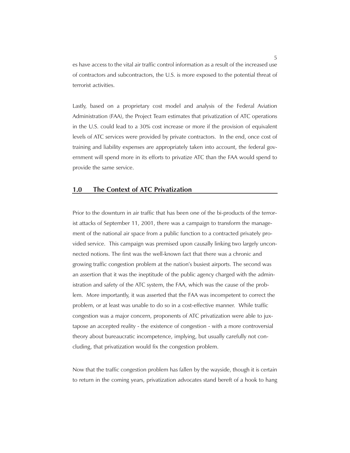es have access to the vital air traffic control information as a result of the increased use of contractors and subcontractors, the U.S. is more exposed to the potential threat of terrorist activities.

Lastly, based on a proprietary cost model and analysis of the Federal Aviation Administration (FAA), the Project Team estimates that privatization of ATC operations in the U.S. could lead to a 30% cost increase or more if the provision of equivalent levels of ATC services were provided by private contractors. In the end, once cost of training and liability expenses are appropriately taken into account, the federal government will spend more in its efforts to privatize ATC than the FAA would spend to provide the same service.

### **1.0 The Context of ATC Privatization**

Prior to the downturn in air traffic that has been one of the bi-products of the terrorist attacks of September 11, 2001, there was a campaign to transform the management of the national air space from a public function to a contracted privately provided service. This campaign was premised upon causally linking two largely unconnected notions. The first was the well-known fact that there was a chronic and growing traffic congestion problem at the nation's busiest airports. The second was an assertion that it was the ineptitude of the public agency charged with the administration and safety of the ATC system, the FAA, which was the cause of the problem. More importantly, it was asserted that the FAA was incompetent to correct the problem, or at least was unable to do so in a cost-effective manner. While traffic congestion was a major concern, proponents of ATC privatization were able to juxtapose an accepted reality - the existence of congestion - with a more controversial theory about bureaucratic incompetence, implying, but usually carefully not concluding, that privatization would fix the congestion problem.

Now that the traffic congestion problem has fallen by the wayside, though it is certain to return in the coming years, privatization advocates stand bereft of a hook to hang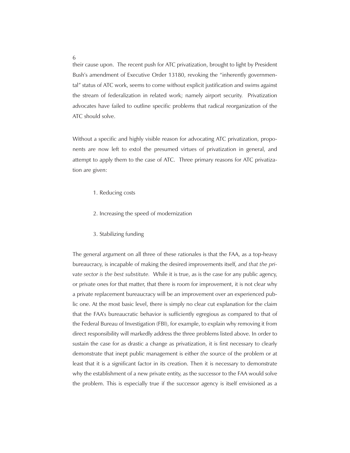their cause upon. The recent push for ATC privatization, brought to light by President Bush's amendment of Executive Order 13180, revoking the "inherently governmental" status of ATC work, seems to come without explicit justification and swims against the stream of federalization in related work; namely airport security. Privatization advocates have failed to outline specific problems that radical reorganization of the ATC should solve.

Without a specific and highly visible reason for advocating ATC privatization, proponents are now left to extol the presumed virtues of privatization in general, and attempt to apply them to the case of ATC. Three primary reasons for ATC privatization are given:

- 1. Reducing costs
- 2. Increasing the speed of modernization
- 3. Stabilizing funding

The general argument on all three of these rationales is that the FAA, as a top-heavy bureaucracy, is incapable of making the desired improvements itself, *and that the private sector is the best substitute.* While it is true, as is the case for any public agency, or private ones for that matter, that there is room for improvement, it is not clear why a private replacement bureaucracy will be an improvement over an experienced public one. At the most basic level, there is simply no clear cut explanation for the claim that the FAA's bureaucratic behavior is sufficiently egregious as compared to that of the Federal Bureau of Investigation (FBI), for example, to explain why removing it from direct responsibility will markedly address the three problems listed above. In order to sustain the case for as drastic a change as privatization, it is first necessary to clearly demonstrate that inept public management is either *the* source of the problem or at least that it is a significant factor in its creation. Then it is necessary to demonstrate why the establishment of a new private entity, as the successor to the FAA would solve the problem. This is especially true if the successor agency is itself envisioned as a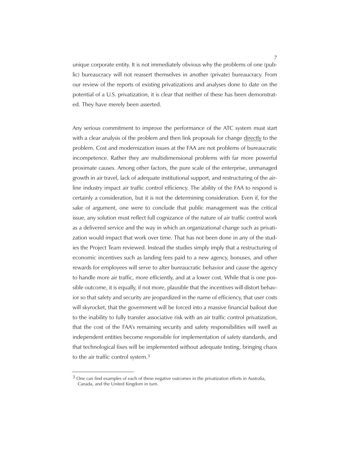unique corporate entity. It is not immediately obvious why the problems of one (public) bureaucracy will not reassert themselves in another (private) bureaucracy. From our review of the reports of existing privatizations and analyses done to date on the potential of a U.S. privatization, it is clear that neither of these has been demonstrated. They have merely been asserted.

Any serious commitment to improve the performance of the ATC system must start with a clear analysis of the problem and then link proposals for change directly to the problem. Cost and modernization issues at the FAA are not problems of bureaucratic incompetence. Rather they are multidimensional problems with far more powerful proximate causes. Among other factors, the pure scale of the enterprise, unmanaged growth in air travel, lack of adequate institutional support, and restructuring of the airline industry impact air traffic control efficiency. The ability of the FAA to respond is certainly a consideration, but it is not the determining consideration. Even if, for the sake of argument, one were to conclude that public management was the critical issue, any solution must reflect full cognizance of the nature of air traffic control work as a delivered service and the way in which an organizational change such as privatization would impact that work over time. That has not been done in any of the studies the Project Team reviewed. Instead the studies simply imply that a restructuring of economic incentives such as landing fees paid to a new agency, bonuses, and other rewards for employees will serve to alter bureaucratic behavior and cause the agency to handle more air traffic, more efficiently, and at a lower cost. While that is one possible outcome, it is equally, if not more, plausible that the incentives will distort behavior so that safety and security are jeopardized in the name of efficiency, that user costs will skyrocket, that the government will be forced into a massive financial bailout due to the inability to fully transfer associative risk with an air traffic control privatization, that the cost of the FAA's remaining security and safety responsibilities will swell as independent entities become responsible for implementation of safety standards, and that technological fixes will be implemented without adequate testing, bringing chaos to the air traffic control system.3

<sup>&</sup>lt;sup>3</sup> One can find examples of each of these negative outcomes in the privatization efforts in Australia, Canada, and the United Kingdom in turn.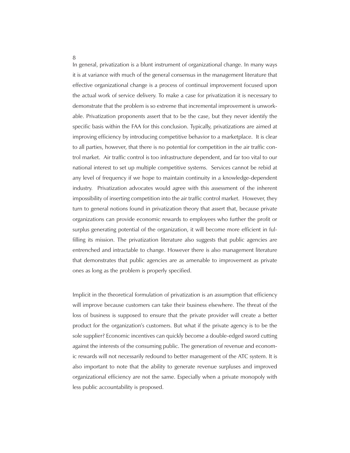8

In general, privatization is a blunt instrument of organizational change. In many ways it is at variance with much of the general consensus in the management literature that effective organizational change is a process of continual improvement focused upon the actual work of service delivery. To make a case for privatization it is necessary to demonstrate that the problem is so extreme that incremental improvement is unworkable. Privatization proponents assert that to be the case, but they never identify the specific basis within the FAA for this conclusion. Typically, privatizations are aimed at improving efficiency by introducing competitive behavior to a marketplace. It is clear to all parties, however, that there is no potential for competition in the air traffic control market. Air traffic control is too infrastructure dependent, and far too vital to our national interest to set up multiple competitive systems. Services cannot be rebid at any level of frequency if we hope to maintain continuity in a knowledge-dependent industry. Privatization advocates would agree with this assessment of the inherent impossibility of inserting competition into the air traffic control market. However, they turn to general notions found in privatization theory that assert that, because private organizations can provide economic rewards to employees who further the profit or surplus generating potential of the organization, it will become more efficient in fulfilling its mission. The privatization literature also suggests that public agencies are entrenched and intractable to change. However there is also management literature that demonstrates that public agencies are as amenable to improvement as private ones as long as the problem is properly specified.

Implicit in the theoretical formulation of privatization is an assumption that efficiency will improve because customers can take their business elsewhere. The threat of the loss of business is supposed to ensure that the private provider will create a better product for the organization's customers. But what if the private agency is to be the sole supplier? Economic incentives can quickly become a double-edged sword cutting against the interests of the consuming public. The generation of revenue and economic rewards will not necessarily redound to better management of the ATC system. It is also important to note that the ability to generate revenue surpluses and improved organizational efficiency are not the same. Especially when a private monopoly with less public accountability is proposed.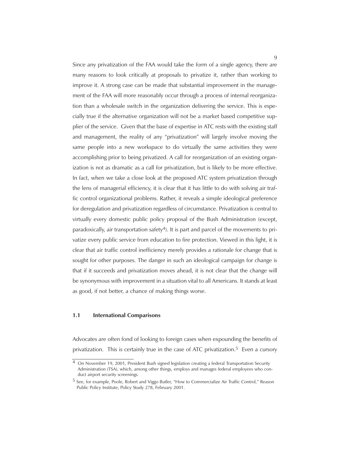Since any privatization of the FAA would take the form of a single agency, there are many reasons to look critically at proposals to privatize it, rather than working to improve it. A strong case can be made that substantial improvement in the management of the FAA will more reasonably occur through a process of internal reorganization than a wholesale switch in the organization delivering the service. This is especially true if the alternative organization will not be a market based competitive supplier of the service. Given that the base of expertise in ATC rests with the existing staff and management, the reality of any "privatization" will largely involve moving the same people into a new workspace to do virtually the same activities they were accomplishing prior to being privatized. A call for reorganization of an existing organization is not as dramatic as a call for privatization, but is likely to be more effective. In fact, when we take a close look at the proposed ATC system privatization through the lens of managerial efficiency, it is clear that it has little to do with solving air traffic control organizational problems. Rather, it reveals a simple ideological preference for deregulation and privatization regardless of circumstance. Privatization is central to virtually every domestic public policy proposal of the Bush Administration (except, paradoxically, air transportation safety<sup>4</sup>). It is part and parcel of the movements to privatize every public service from education to fire protection. Viewed in this light, it is clear that air traffic control inefficiency merely provides a rationale for change that is sought for other purposes. The danger in such an ideological campaign for change is that if it succeeds and privatization moves ahead, it is not clear that the change will be synonymous with improvement in a situation vital to all Americans. It stands at least as good, if not better, a chance of making things worse.

#### **1.1 International Comparisons**

Advocates are often fond of looking to foreign cases when expounding the benefits of privatization. This is certainly true in the case of ATC privatization.<sup>5</sup> Even a cursory

On November 19, 2001, President Bush signed legislation creating a federal Transportation Security Administration (TSA), which, among other things, employs and manages federal employees who conduct airport security screenings.

<sup>5</sup> See, for example, Poole, Robert and Viggo Butler, "How to Commercialize Air Traffic Control," Reason Public Policy Institute, Policy Study 278, February 2001.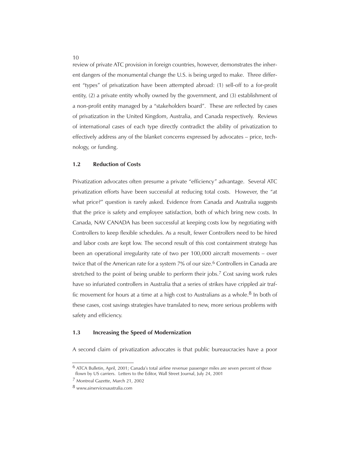review of private ATC provision in foreign countries, however, demonstrates the inherent dangers of the monumental change the U.S. is being urged to make. Three different "types" of privatization have been attempted abroad: (1) sell-off to a for-profit entity, (2) a private entity wholly owned by the government, and (3) establishment of a non-profit entity managed by a "stakeholders board". These are reflected by cases of privatization in the United Kingdom, Australia, and Canada respectively. Reviews of international cases of each type directly contradict the ability of privatization to effectively address any of the blanket concerns expressed by advocates – price, technology, or funding.

#### **1.2 Reduction of Costs**

Privatization advocates often presume a private "efficiency" advantage. Several ATC privatization efforts have been successful at reducing total costs. However, the "at what price?" question is rarely asked. Evidence from Canada and Australia suggests that the price is safety and employee satisfaction, both of which bring new costs. In Canada, NAV CANADA has been successful at keeping costs low by negotiating with Controllers to keep flexible schedules. As a result, fewer Controllers need to be hired and labor costs are kept low. The second result of this cost containment strategy has been an operational irregularity rate of two per 100,000 aircraft movements – over twice that of the American rate for a system 7% of our size.<sup>6</sup> Controllers in Canada are stretched to the point of being unable to perform their jobs.<sup>7</sup> Cost saving work rules have so infuriated controllers in Australia that a series of strikes have crippled air traffic movement for hours at a time at a high cost to Australians as a whole.<sup>8</sup> In both of these cases, cost savings strategies have translated to new, more serious problems with safety and efficiency.

#### **1.3 Increasing the Speed of Modernization**

A second claim of privatization advocates is that public bureaucracies have a poor

<sup>6</sup> ATCA Bulletin, April, 2001; Canada's total airline revenue passenger miles are seven percent of those flown by US carriers. Letters to the Editor, Wall Street Journal, July 24, 2001

<sup>7</sup> Montreal Gazette, March 21, 2002

<sup>8</sup> www.airservicesaustralia.com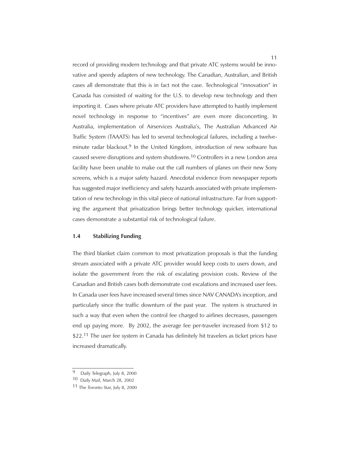record of providing modern technology and that private ATC systems would be innovative and speedy adapters of new technology. The Canadian, Australian, and British cases all demonstrate that this is in fact not the case. Technological "innovation" in Canada has consisted of waiting for the U.S. to develop new technology and then importing it. Cases where private ATC providers have attempted to hastily implement novel technology in response to "incentives" are even more disconcerting. In Australia, implementation of Airservices Australia's, The Australian Advanced Air Traffic System (TAAATS) has led to several technological failures, including a twelveminute radar blackout.9 In the United Kingdom, introduction of new software has caused severe disruptions and system shutdowns.10 Controllers in a new London area facility have been unable to make out the call numbers of planes on their new Sony screens, which is a major safety hazard. Anecdotal evidence from newspaper reports has suggested major inefficiency and safety hazards associated with private implementation of new technology in this vital piece of national infrastructure. Far from supporting the argument that privatization brings better technology quicker, international cases demonstrate a substantial risk of technological failure.

#### **1.4 Stabilizing Funding**

The third blanket claim common to most privatization proposals is that the funding stream associated with a private ATC provider would keep costs to users down, and isolate the government from the risk of escalating provision costs. Review of the Canadian and British cases both demonstrate cost escalations and increased user fees. In Canada user fees have increased several times since NAV CANADA's inception, and particularly since the traffic downturn of the past year. The system is structured in such a way that even when the control fee charged to airlines decreases, passengers end up paying more. By 2002, the average fee per-traveler increased from \$12 to \$22.<sup>11</sup> The user fee system in Canada has definitely hit travelers as ticket prices have increased dramatically.

<sup>9</sup> Daily Telegraph, July 8, 2000

<sup>10</sup> Daily Mail, March 28, 2002

<sup>11</sup> The Toronto Star, July 8, 2000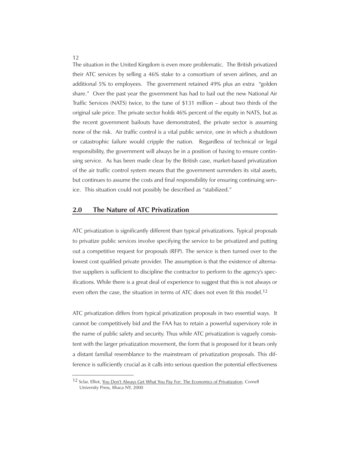The situation in the United Kingdom is even more problematic. The British privatized their ATC services by selling a 46% stake to a consortium of seven airlines, and an additional 5% to employees. The government retained 49% plus an extra "golden share." Over the past year the government has had to bail out the new National Air Traffic Services (NATS) twice, to the tune of \$131 million – about two thirds of the original sale price. The private sector holds 46% percent of the equity in NATS, but as the recent government bailouts have demonstrated, the private sector is assuming none of the risk. Air traffic control is a vital public service, one in which a shutdown or catastrophic failure would cripple the nation. Regardless of technical or legal responsibility, the government will always be in a position of having to ensure continuing service. As has been made clear by the British case, market-based privatization of the air traffic control system means that the government surrenders its vital assets, but continues to assume the costs and final responsibility for ensuring continuing service. This situation could not possibly be described as "stabilized."

#### **2.0 The Nature of ATC Privatization**

ATC privatization is significantly different than typical privatizations. Typical proposals to privatize public services involve specifying the service to be privatized and putting out a competitive request for proposals (RFP). The service is then turned over to the lowest cost qualified private provider. The assumption is that the existence of alternative suppliers is sufficient to discipline the contractor to perform to the agency's specifications. While there is a great deal of experience to suggest that this is not always or even often the case, the situation in terms of ATC does not even fit this model.<sup>12</sup>

ATC privatization differs from typical privatization proposals in two essential ways. It cannot be competitively bid and the FAA has to retain a powerful supervisory role in the name of public safety and security. Thus while ATC privatization is vaguely consistent with the larger privatization movement, the form that is proposed for it bears only a distant familial resemblance to the mainstream of privatization proposals. This difference is sufficiently crucial as it calls into serious question the potential effectiveness

<sup>12</sup> Sclar, Elliot, You Don't Always Get What You Pay For: The Economics of Privatization, Cornell University Press, Ithaca NY, 2000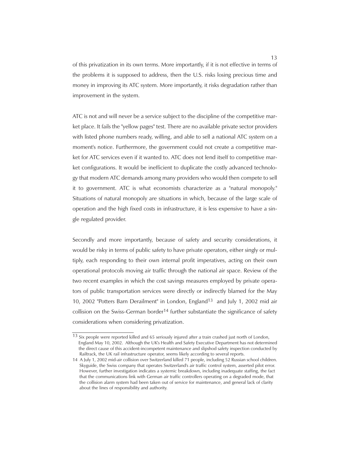of this privatization in its own terms. More importantly, if it is not effective in terms of the problems it is supposed to address, then the U.S. risks losing precious time and money in improving its ATC system. More importantly, it risks degradation rather than improvement in the system.

ATC is not and will never be a service subject to the discipline of the competitive market place. It fails the "yellow pages" test. There are no available private sector providers with listed phone numbers ready, willing, and able to sell a national ATC system on a moment's notice. Furthermore, the government could not create a competitive market for ATC services even if it wanted to. ATC does not lend itself to competitive market configurations. It would be inefficient to duplicate the costly advanced technology that modern ATC demands among many providers who would then compete to sell it to government. ATC is what economists characterize as a "natural monopoly." Situations of natural monopoly are situations in which, because of the large scale of operation and the high fixed costs in infrastructure, it is less expensive to have a single regulated provider.

Secondly and more importantly, because of safety and security considerations, it would be risky in terms of public safety to have private operators, either singly or multiply, each responding to their own internal profit imperatives, acting on their own operational protocols moving air traffic through the national air space. Review of the two recent examples in which the cost savings measures employed by private operators of public transportation services were directly or indirectly blamed for the May 10, 2002 "Potters Barn Derailment" in London, England13 and July 1, 2002 mid air collision on the Swiss-German border<sup>14</sup> further substantiate the significance of safety considerations when considering privatization.

<sup>13</sup> Six people were reported killed and 65 seriously injured after a train crashed just north of London, England May 10, 2002. Although the UK's Health and Safety Executive Department has not determined the direct cause of this accident-incompetent maintenance and slipshod safety inspection conducted by Railtrack, the UK rail infrastructure operator, seems likely according to several reports.

<sup>14</sup> A July 1, 2002 mid-air collision over Switzerland killed 71 people, including 52 Russian school children. Skyguide, the Swiss company that operates Switzerland's air traffic control system, asserted pilot error. However, further investigation indicates a systemic breakdown, including inadequate staffing, the fact that the communications link with German air traffic controllers operating on a degraded mode, that the collision alarm system had been taken out of service for maintenance, and general lack of clarity about the lines of responsibility and authority.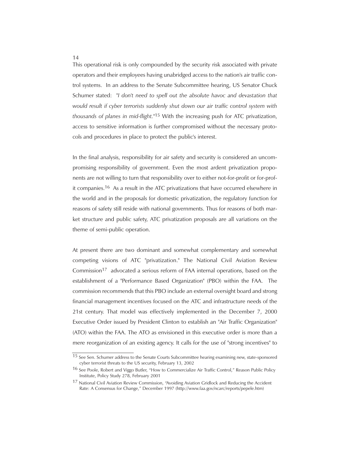This operational risk is only compounded by the security risk associated with private operators and their employees having unabridged access to the nation's air traffic control systems. In an address to the Senate Subcommittee hearing, US Senator Chuck Schumer stated: *"I don't need to spell out the absolute havoc and devastation that would result if cyber terrorists suddenly shut down our air traffic control system with thousands of planes in mid-flight."*15 With the increasing push for ATC privatization, access to sensitive information is further compromised without the necessary protocols and procedures in place to protect the public's interest.

In the final analysis, responsibility for air safety and security is considered an uncompromising responsibility of government. Even the most ardent privatization proponents are not willing to turn that responsibility over to either not-for-profit or for-profit companies.16 As a result in the ATC privatizations that have occurred elsewhere in the world and in the proposals for domestic privatization, the regulatory function for reasons of safety still reside with national governments. Thus for reasons of both market structure and public safety, ATC privatization proposals are all variations on the theme of semi-public operation.

At present there are two dominant and somewhat complementary and somewhat competing visions of ATC "privatization." The National Civil Aviation Review Commission17 advocated a serious reform of FAA internal operations, based on the establishment of a "Performance Based Organization" (PBO) within the FAA. The commission recommends that this PBO include an external oversight board and strong financial management incentives focused on the ATC and infrastructure needs of the 21st century. That model was effectively implemented in the December 7, 2000 Executive Order issued by President Clinton to establish an "Air Traffic Organization" (ATO) within the FAA. The ATO as envisioned in this executive order is more than a mere reorganization of an existing agency. It calls for the use of "strong incentives" to

<sup>15</sup> See Sen. Schumer address to the Senate Courts Subcommittee hearing examining new, state-sponsored cyber terrorist threats to the US security, February 13, 2002

<sup>16</sup> See Poole, Robert and Viggo Butler, "How to Commercialize Air Traffic Control," Reason Public Policy Institute, Policy Study 278, February 2001

<sup>17</sup> National Civil Aviation Review Commission, "Avoiding Aviation Gridlock and Reducing the Accident Rate: A Consensus for Change," December 1997 (http://www.faa.gov/ncarc/reports/pepele.htm)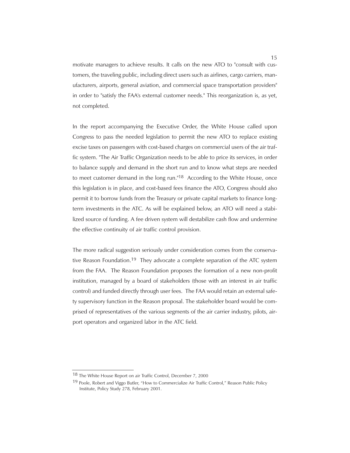motivate managers to achieve results. It calls on the new ATO to "consult with customers, the traveling public, including direct users such as airlines, cargo carriers, manufacturers, airports, general aviation, and commercial space transportation providers" in order to "satisfy the FAA's external customer needs." This reorganization is, as yet, not completed.

In the report accompanying the Executive Order, the White House called upon Congress to pass the needed legislation to permit the new ATO to replace existing excise taxes on passengers with cost-based charges on commercial users of the air traffic system. "The Air Traffic Organization needs to be able to price its services, in order to balance supply and demand in the short run and to know what steps are needed to meet customer demand in the long run."18 According to the White House, once this legislation is in place, and cost-based fees finance the ATO, Congress should also permit it to borrow funds from the Treasury or private capital markets to finance longterm investments in the ATC. As will be explained below, an ATO will need a stabilized source of funding. A fee driven system will destabilize cash flow and undermine the effective continuity of air traffic control provision.

The more radical suggestion seriously under consideration comes from the conservative Reason Foundation.19 They advocate a complete separation of the ATC system from the FAA. The Reason Foundation proposes the formation of a new non-profit institution, managed by a board of stakeholders (those with an interest in air traffic control) and funded directly through user fees. The FAA would retain an external safety supervisory function in the Reason proposal. The stakeholder board would be comprised of representatives of the various segments of the air carrier industry, pilots, airport operators and organized labor in the ATC field.

<sup>18</sup> The White House Report on air Traffic Control, December 7, 2000

<sup>&</sup>lt;sup>19</sup> Poole, Robert and Viggo Butler, "How to Commercialize Air Traffic Control," Reason Public Policy Institute, Policy Study 278, February 2001.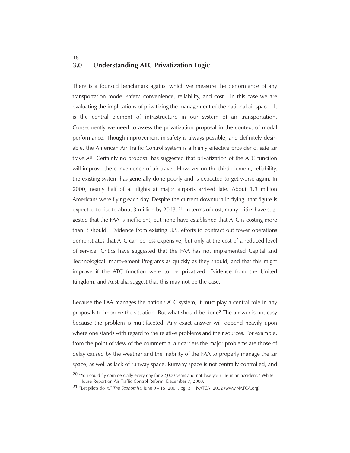# **3.0 Understanding ATC Privatization Logic** 16

There is a fourfold benchmark against which we measure the performance of any transportation mode: safety, convenience, reliability, and cost. In this case we are evaluating the implications of privatizing the management of the national air space. It is the central element of infrastructure in our system of air transportation. Consequently we need to assess the privatization proposal in the context of modal performance. Though improvement in safety is always possible, and definitely desirable, the American Air Traffic Control system is a highly effective provider of safe air travel.20 Certainly no proposal has suggested that privatization of the ATC function will improve the convenience of air travel. However on the third element, reliability, the existing system has generally done poorly and is expected to get worse again. In 2000, nearly half of all flights at major airports arrived late. About 1.9 million Americans were flying each day. Despite the current downturn in flying, that figure is expected to rise to about 3 million by  $2013<sup>21</sup>$  In terms of cost, many critics have suggested that the FAA is inefficient, but none have established that ATC is costing more than it should. Evidence from existing U.S. efforts to contract out tower operations demonstrates that ATC can be less expensive, but only at the cost of a reduced level of service. Critics have suggested that the FAA has not implemented Capital and Technological Improvement Programs as quickly as they should, and that this might improve if the ATC function were to be privatized. Evidence from the United Kingdom, and Australia suggest that this may not be the case.

Because the FAA manages the nation's ATC system, it must play a central role in any proposals to improve the situation. But what should be done? The answer is not easy because the problem is multifaceted. Any exact answer will depend heavily upon where one stands with regard to the relative problems and their sources. For example, from the point of view of the commercial air carriers the major problems are those of delay caused by the weather and the inability of the FAA to properly manage the air space, as well as lack of runway space. Runway space is not centrally controlled, and

<sup>&</sup>lt;sup>20</sup> "You could fly commercially every day for 22,000 years and not lose your life in an accident." White House Report on Air Traffic Control Reform, December 7, 2000.

<sup>21 &</sup>quot;Let pilots do it," *The Economist*, June 9 - 15, 2001, pg. 31; NATCA, 2002 (www.NATCA.org)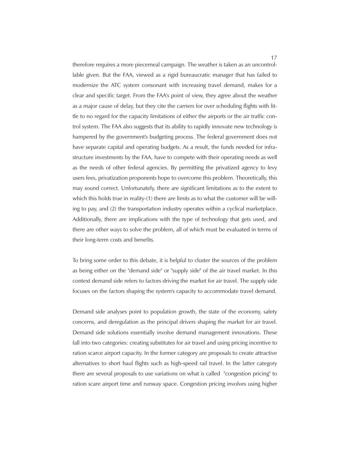therefore requires a more piecemeal campaign. The weather is taken as an uncontrollable given. But the FAA, viewed as a rigid bureaucratic manager that has failed to modernize the ATC system consonant with increasing travel demand, makes for a clear and specific target. From the FAA's point of view, they agree about the weather as a major cause of delay, but they cite the carriers for over scheduling flights with little to no regard for the capacity limitations of either the airports or the air traffic control system. The FAA also suggests that its ability to rapidly innovate new technology is hampered by the government's budgeting process. The federal government does not have separate capital and operating budgets. As a result, the funds needed for infrastructure investments by the FAA, have to compete with their operating needs as well as the needs of other federal agencies. By permitting the privatized agency to levy users fees, privatization proponents hope to overcome this problem. Theoretically, this may sound correct. Unfortunately, there are significant limitations as to the extent to which this holds true in reality-(1) there are limits as to what the customer will be willing to pay, and (2) the transportation industry operates within a cyclical marketplace. Additionally, there are implications with the type of technology that gets used, and there are other ways to solve the problem, all of which must be evaluated in terms of their long-term costs and benefits.

To bring some order to this debate, it is helpful to cluster the sources of the problem as being either on the "demand side" or "supply side" of the air travel market. In this context demand side refers to factors driving the market for air travel. The supply side focuses on the factors shaping the system's capacity to accommodate travel demand.

Demand side analyses point to population growth, the state of the economy, safety concerns, and deregulation as the principal drivers shaping the market for air travel. Demand side solutions essentially involve demand management innovations. These fall into two categories: creating substitutes for air travel and using pricing incentive to ration scarce airport capacity. In the former category are proposals to create attractive alternatives to short haul flights such as high-speed rail travel. In the latter category there are several proposals to use variations on what is called "congestion pricing" to ration scare airport time and runway space. Congestion pricing involves using higher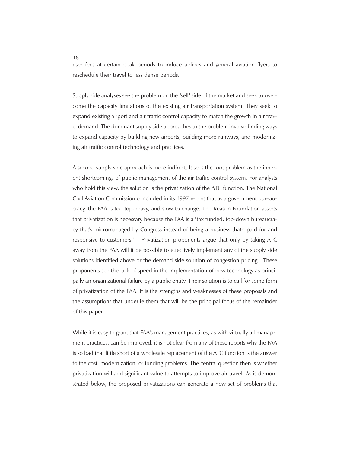user fees at certain peak periods to induce airlines and general aviation flyers to reschedule their travel to less dense periods.

Supply side analyses see the problem on the "sell" side of the market and seek to overcome the capacity limitations of the existing air transportation system. They seek to expand existing airport and air traffic control capacity to match the growth in air travel demand. The dominant supply side approaches to the problem involve finding ways to expand capacity by building new airports, building more runways, and modernizing air traffic control technology and practices.

A second supply side approach is more indirect. It sees the root problem as the inherent shortcomings of public management of the air traffic control system. For analysts who hold this view, the solution is the privatization of the ATC function. The National Civil Aviation Commission concluded in its 1997 report that as a government bureaucracy, the FAA is too top-heavy, and slow to change. The Reason Foundation asserts that privatization is necessary because the FAA is a "tax funded, top-down bureaucracy that's micromanaged by Congress instead of being a business that's paid for and responsive to customers." Privatization proponents argue that only by taking ATC away from the FAA will it be possible to effectively implement any of the supply side solutions identified above or the demand side solution of congestion pricing. These proponents see the lack of speed in the implementation of new technology as principally an organizational failure by a public entity. Their solution is to call for some form of privatization of the FAA. It is the strengths and weaknesses of these proposals and the assumptions that underlie them that will be the principal focus of the remainder of this paper.

While it is easy to grant that FAA's management practices, as with virtually all management practices, can be improved, it is not clear from any of these reports why the FAA is so bad that little short of a wholesale replacement of the ATC function is the answer to the cost, modernization, or funding problems. The central question then is whether privatization will add significant value to attempts to improve air travel. As is demonstrated below, the proposed privatizations can generate a new set of problems that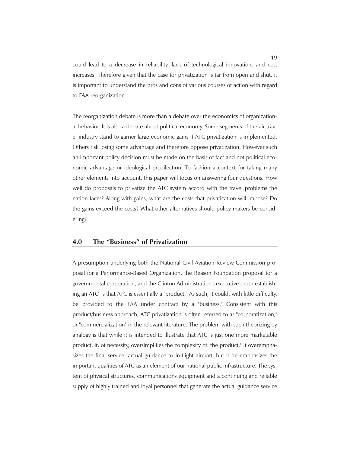could lead to a decrease in reliability, lack of technological innovation, and cost increases. Therefore given that the case for privatization is far from open and shut, it is important to understand the pros and cons of various courses of action with regard to FAA reorganization.

The reorganization debate is more than a debate over the economics of organizational behavior. It is also a debate about political economy. Some segments of the air travel industry stand to garner large economic gains if ATC privatization is implemented. Others risk losing some advantage and therefore oppose privatization. However such an important policy decision must be made on the basis of fact and not political economic advantage or ideological predilection. To fashion a context for taking many other elements into account, this paper will focus on answering four questions. How well do proposals to privatize the ATC system accord with the travel problems the nation faces? Along with gains, what are the costs that privatization will impose? Do the gains exceed the costs? What other alternatives should policy makers be considering?

# **4.0 The "Business" of Privatization**

A presumption underlying both the National Civil Aviation Review Commission proposal for a Performance-Based Organization, the Reason Foundation proposal for a governmental corporation, and the Clinton Administration's executive order establishing an ATO is that ATC is essentially a "product." As such, it could, with little difficulty, be provided to the FAA under contract by a "business." Consistent with this product/business approach, ATC privatization is often referred to as "corporatization," or "commercialization" in the relevant literature. The problem with such theorizing by analogy is that while it is intended to illustrate that ATC is just one more marketable product, it, of necessity, oversimplifies the complexity of "the product." It overemphasizes the final service, actual guidance to in-flight aircraft, but it de-emphasizes the important qualities of ATC as an element of our national public infrastructure. The system of physical structures, communications equipment and a continuing and reliable supply of highly trained and loyal personnel that generate the actual guidance service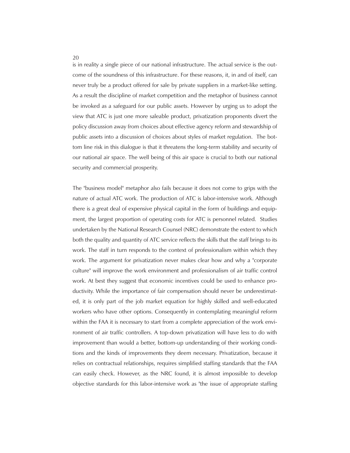is in reality a single piece of our national infrastructure. The actual service is the outcome of the soundness of this infrastructure. For these reasons, it, in and of itself, can never truly be a product offered for sale by private suppliers in a market-like setting. As a result the discipline of market competition and the metaphor of business cannot be invoked as a safeguard for our public assets. However by urging us to adopt the view that ATC is just one more saleable product, privatization proponents divert the policy discussion away from choices about effective agency reform and stewardship of public assets into a discussion of choices about styles of market regulation. The bottom line risk in this dialogue is that it threatens the long-term stability and security of our national air space. The well being of this air space is crucial to both our national security and commercial prosperity.

The "business model" metaphor also fails because it does not come to grips with the nature of actual ATC work. The production of ATC is labor-intensive work. Although there is a great deal of expensive physical capital in the form of buildings and equipment, the largest proportion of operating costs for ATC is personnel related. Studies undertaken by the National Research Counsel (NRC) demonstrate the extent to which both the quality and quantity of ATC service reflects the skills that the staff brings to its work. The staff in turn responds to the context of professionalism within which they work. The argument for privatization never makes clear how and why a "corporate culture" will improve the work environment and professionalism of air traffic control work. At best they suggest that economic incentives could be used to enhance productivity. While the importance of fair compensation should never be underestimated, it is only part of the job market equation for highly skilled and well-educated workers who have other options. Consequently in contemplating meaningful reform within the FAA it is necessary to start from a complete appreciation of the work environment of air traffic controllers. A top-down privatization will have less to do with improvement than would a better, bottom-up understanding of their working conditions and the kinds of improvements they deem necessary. Privatization, because it relies on contractual relationships, requires simplified staffing standards that the FAA can easily check. However, as the NRC found, it is almost impossible to develop objective standards for this labor-intensive work as "the issue of appropriate staffing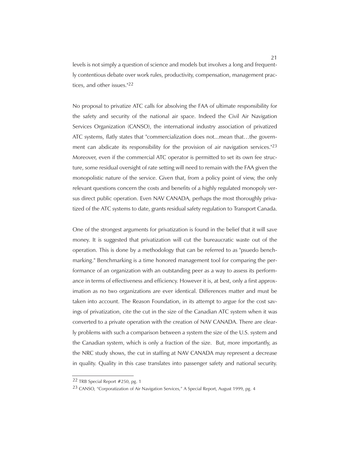levels is not simply a question of science and models but involves a long and frequently contentious debate over work rules, productivity, compensation, management practices, and other issues."22

No proposal to privatize ATC calls for absolving the FAA of ultimate responsibility for the safety and security of the national air space. Indeed the Civil Air Navigation Services Organization (CANSO), the international industry association of privatized ATC systems, flatly states that "commercialization does not...mean that…the government can abdicate its responsibility for the provision of air navigation services."<sup>23</sup> Moreover, even if the commercial ATC operator is permitted to set its own fee structure, some residual oversight of rate setting will need to remain with the FAA given the monopolistic nature of the service. Given that, from a policy point of view, the only relevant questions concern the costs and benefits of a highly regulated monopoly versus direct public operation. Even NAV CANADA, perhaps the most thoroughly privatized of the ATC systems to date, grants residual safety regulation to Transport Canada.

One of the strongest arguments for privatization is found in the belief that it will save money. It is suggested that privatization will cut the bureaucratic waste out of the operation. This is done by a methodology that can be referred to as "psuedo benchmarking." Benchmarking is a time honored management tool for comparing the performance of an organization with an outstanding peer as a way to assess its performance in terms of effectiveness and efficiency. However it is, at best, only a first approximation as no two organizations are ever identical. Differences matter and must be taken into account. The Reason Foundation, in its attempt to argue for the cost savings of privatization, cite the cut in the size of the Canadian ATC system when it was converted to a private operation with the creation of NAV CANADA. There are clearly problems with such a comparison between a system the size of the U.S. system and the Canadian system, which is only a fraction of the size. But, more importantly, as the NRC study shows, the cut in staffing at NAV CANADA may represent a decrease in quality. Quality in this case translates into passenger safety and national security.

<sup>22</sup> TRB Special Report #250, pg. 1

<sup>23</sup> CANSO, "Corporatization of Air Navigation Services," A Special Report, August 1999, pg. 4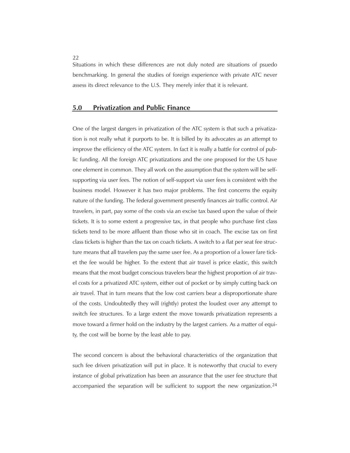Situations in which these differences are not duly noted are situations of psuedo benchmarking. In general the studies of foreign experience with private ATC never assess its direct relevance to the U.S. They merely infer that it is relevant.

# **5.0 Privatization and Public Finance**

One of the largest dangers in privatization of the ATC system is that such a privatization is not really what it purports to be. It is billed by its advocates as an attempt to improve the efficiency of the ATC system. In fact it is really a battle for control of public funding. All the foreign ATC privatizations and the one proposed for the US have one element in common. They all work on the assumption that the system will be selfsupporting via user fees. The notion of self-support via user fees is consistent with the business model. However it has two major problems. The first concerns the equity nature of the funding. The federal government presently finances air traffic control. Air travelers, in part, pay some of the costs via an excise tax based upon the value of their tickets. It is to some extent a progressive tax, in that people who purchase first class tickets tend to be more affluent than those who sit in coach. The excise tax on first class tickets is higher than the tax on coach tickets. A switch to a flat per seat fee structure means that all travelers pay the same user fee. As a proportion of a lower fare ticket the fee would be higher. To the extent that air travel is price elastic, this switch means that the most budget conscious travelers bear the highest proportion of air travel costs for a privatized ATC system, either out of pocket or by simply cutting back on air travel. That in turn means that the low cost carriers bear a disproportionate share of the costs. Undoubtedly they will (rightly) protest the loudest over any attempt to switch fee structures. To a large extent the move towards privatization represents a move toward a firmer hold on the industry by the largest carriers. As a matter of equity, the cost will be borne by the least able to pay.

The second concern is about the behavioral characteristics of the organization that such fee driven privatization will put in place. It is noteworthy that crucial to every instance of global privatization has been an assurance that the user fee structure that accompanied the separation will be sufficient to support the new organization.24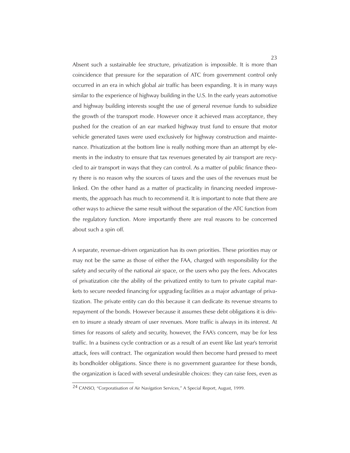Absent such a sustainable fee structure, privatization is impossible. It is more than coincidence that pressure for the separation of ATC from government control only occurred in an era in which global air traffic has been expanding. It is in many ways similar to the experience of highway building in the U.S. In the early years automotive and highway building interests sought the use of general revenue funds to subsidize the growth of the transport mode. However once it achieved mass acceptance, they pushed for the creation of an ear marked highway trust fund to ensure that motor vehicle generated taxes were used exclusively for highway construction and maintenance. Privatization at the bottom line is really nothing more than an attempt by elements in the industry to ensure that tax revenues generated by air transport are recycled to air transport in ways that they can control. As a matter of public finance theory there is no reason why the sources of taxes and the uses of the revenues must be linked. On the other hand as a matter of practicality in financing needed improvements, the approach has much to recommend it. It is important to note that there are other ways to achieve the same result without the separation of the ATC function from the regulatory function. More importantly there are real reasons to be concerned about such a spin off.

A separate, revenue-driven organization has its own priorities. These priorities may or may not be the same as those of either the FAA, charged with responsibility for the safety and security of the national air space, or the users who pay the fees. Advocates of privatization cite the ability of the privatized entity to turn to private capital markets to secure needed financing for upgrading facilities as a major advantage of privatization. The private entity can do this because it can dedicate its revenue streams to repayment of the bonds. However because it assumes these debt obligations it is driven to insure a steady stream of user revenues. More traffic is always in its interest. At times for reasons of safety and security, however, the FAA's concern, may be for less traffic. In a business cycle contraction or as a result of an event like last year's terrorist attack, fees will contract. The organization would then become hard pressed to meet its bondholder obligations. Since there is no government guarantee for these bonds, the organization is faced with several undesirable choices: they can raise fees, even as

<sup>24</sup> CANSO, "Corporatisation of Air Navigation Services," A Special Report, August, 1999.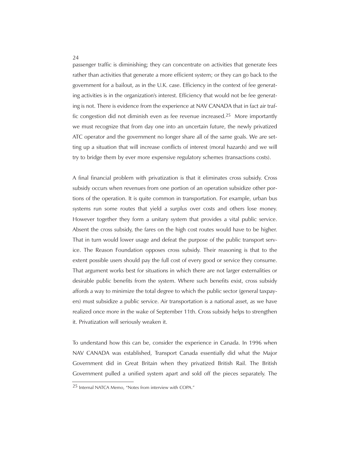passenger traffic is diminishing; they can concentrate on activities that generate fees rather than activities that generate a more efficient system; or they can go back to the government for a bailout, as in the U.K. case. Efficiency in the context of fee generating activities is in the organization's interest. Efficiency that would not be fee generating is not. There is evidence from the experience at NAV CANADA that in fact air traffic congestion did not diminish even as fee revenue increased.25 More importantly we must recognize that from day one into an uncertain future, the newly privatized ATC operator and the government no longer share all of the same goals. We are setting up a situation that will increase conflicts of interest (moral hazards) and we will try to bridge them by ever more expensive regulatory schemes (transactions costs).

A final financial problem with privatization is that it eliminates cross subsidy. Cross subsidy occurs when revenues from one portion of an operation subsidize other portions of the operation. It is quite common in transportation. For example, urban bus systems run some routes that yield a surplus over costs and others lose money. However together they form a unitary system that provides a vital public service. Absent the cross subsidy, the fares on the high cost routes would have to be higher. That in turn would lower usage and defeat the purpose of the public transport service. The Reason Foundation opposes cross subsidy. Their reasoning is that to the extent possible users should pay the full cost of every good or service they consume. That argument works best for situations in which there are not larger externalities or desirable public benefits from the system. Where such benefits exist, cross subsidy affords a way to minimize the total degree to which the public sector (general taxpayers) must subsidize a public service. Air transportation is a national asset, as we have realized once more in the wake of September 11th. Cross subsidy helps to strengthen it. Privatization will seriously weaken it.

To understand how this can be, consider the experience in Canada. In 1996 when NAV CANADA was established, Transport Canada essentially did what the Major Government did in Great Britain when they privatized British Rail. The British Government pulled a unified system apart and sold off the pieces separately. The

<sup>25</sup> Internal NATCA Memo, "Notes from interview with COPA."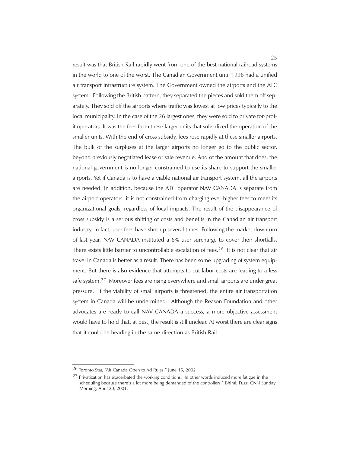result was that British Rail rapidly went from one of the best national railroad systems in the world to one of the worst. The Canadian Government until 1996 had a unified air transport infrastructure system. The Government owned the airports and the ATC system. Following the British pattern, they separated the pieces and sold them off separately. They sold off the airports where traffic was lowest at low prices typically to the local municipality. In the case of the 26 largest ones, they were sold to private for-profit operators. It was the fees from these larger units that subsidized the operation of the smaller units. With the end of cross subsidy, fees rose rapidly at these smaller airports. The bulk of the surpluses at the larger airports no longer go to the public sector, beyond previously negotiated lease or sale revenue. And of the amount that does, the national government is no longer constrained to use its share to support the smaller airports. Yet if Canada is to have a viable national air transport system, all the airports are needed. In addition, because the ATC operator NAV CANADA is separate from the airport operators, it is not constrained from charging ever-higher fees to meet its organizational goals, regardless of local impacts. The result of the disappearance of cross subsidy is a serious shifting of costs and benefits in the Canadian air transport industry. In fact, user fees have shot up several times. Following the market downturn of last year, NAV CANADA instituted a 6% user surcharge to cover their shortfalls. There exists little barrier to uncontrollable escalation of fees.<sup>26</sup> It is not clear that air travel in Canada is better as a result. There has been some upgrading of system equipment. But there is also evidence that attempts to cut labor costs are leading to a less safe system.27 Moreover fees are rising everywhere and small airports are under great pressure. If the viability of small airports is threatened, the entire air transportation system in Canada will be undermined. Although the Reason Foundation and other advocates are ready to call NAV CANADA a success, a more objective assessment would have to hold that, at best, the result is still unclear. At worst there are clear signs that it could be heading in the same direction as British Rail.

<sup>26</sup> Toronto Star, "Air Canada Open to Ad Rules," June 15, 2002

 $27$  Privatization has exacerbated the working conditions. In other words induced more fatigue in the scheduling because there's a lot more being demanded of the controllers." Bhimi, Fuzz, CNN Sunday Morning, April 20, 2001.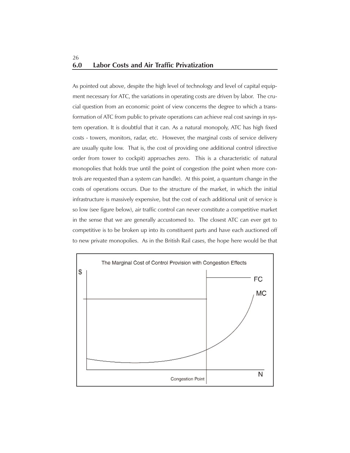# **6.0 Labor Costs and Air Traffic Privatization** 26

As pointed out above, despite the high level of technology and level of capital equipment necessary for ATC, the variations in operating costs are driven by labor. The crucial question from an economic point of view concerns the degree to which a transformation of ATC from public to private operations can achieve real cost savings in system operation. It is doubtful that it can. As a natural monopoly, ATC has high fixed costs - towers, monitors, radar, etc. However, the marginal costs of service delivery are usually quite low. That is, the cost of providing one additional control (directive order from tower to cockpit) approaches zero. This is a characteristic of natural monopolies that holds true until the point of congestion (the point when more controls are requested than a system can handle). At this point, a quantum change in the costs of operations occurs. Due to the structure of the market, in which the initial infrastructure is massively expensive, but the cost of each additional unit of service is so low (see figure below), air traffic control can never constitute a competitive market in the sense that we are generally accustomed to. The closest ATC can ever get to competitive is to be broken up into its constituent parts and have each auctioned off to new private monopolies. As in the British Rail cases, the hope here would be that

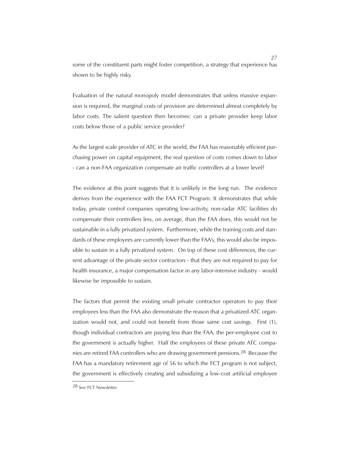some of the constituent parts might foster competition, a strategy that experience has shown to be highly risky.

Evaluation of the natural monopoly model demonstrates that unless massive expansion is required, the marginal costs of provision are determined almost completely by labor costs. The salient question then becomes: can a private provider keep labor costs below those of a public service provider?

As the largest scale provider of ATC in the world, the FAA has reasonably efficient purchasing power on capital equipment, the real question of costs comes down to labor - can a non-FAA organization compensate air traffic controllers at a lower level?

The evidence at this point suggests that it is unlikely in the long run. The evidence derives from the experience with the FAA FCT Program. It demonstrates that while today, private control companies operating low-activity, non-radar ATC facilities do compensate their controllers less, on average, than the FAA does, this would not be sustainable in a fully privatized system. Furthermore, while the training costs and standards of these employees are currently lower than the FAA's, this would also be impossible to sustain in a fully privatized system. On top of these cost differences, the current advantage of the private sector contractors - that they are not required to pay for health insurance, a major compensation factor in any labor-intensive industry - would likewise be impossible to sustain.

The factors that permit the existing small private contractor operators to pay their employees less than the FAA also demonstrate the reason that a privatized ATC organization would not, and could not benefit from those same cost savings. First (1), though individual contractors are paying less than the FAA, the per-employee cost to the government is actually higher. Half the employees of these private ATC companies are retired FAA controllers who are drawing government pensions.28 Because the FAA has a mandatory retirement age of 56 to which the FCT program is not subject, the government is effectively creating and subsidizing a low-cost artificial employee

<sup>28</sup> See FCT Newsletter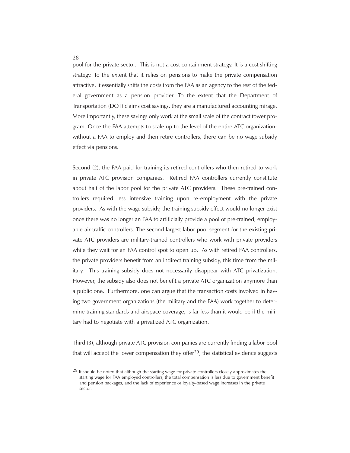pool for the private sector. This is not a cost containment strategy. It is a cost shifting strategy. To the extent that it relies on pensions to make the private compensation attractive, it essentially shifts the costs from the FAA as an agency to the rest of the federal government as a pension provider. To the extent that the Department of Transportation (DOT) claims cost savings, they are a manufactured accounting mirage. More importantly, these savings only work at the small scale of the contract tower program. Once the FAA attempts to scale up to the level of the entire ATC organizationwithout a FAA to employ and then retire controllers, there can be no wage subsidy effect via pensions.

Second (2), the FAA paid for training its retired controllers who then retired to work in private ATC provision companies. Retired FAA controllers currently constitute about half of the labor pool for the private ATC providers. These pre-trained controllers required less intensive training upon re-employment with the private providers. As with the wage subsidy, the training subsidy effect would no longer exist once there was no longer an FAA to artificially provide a pool of pre-trained, employable air-traffic controllers. The second largest labor pool segment for the existing private ATC providers are military-trained controllers who work with private providers while they wait for an FAA control spot to open up. As with retired FAA controllers, the private providers benefit from an indirect training subsidy, this time from the military. This training subsidy does not necessarily disappear with ATC privatization. However, the subsidy also does not benefit a private ATC organization anymore than a public one. Furthermore, one can argue that the transaction costs involved in having two government organizations (the military and the FAA) work together to determine training standards and airspace coverage, is far less than it would be if the military had to negotiate with a privatized ATC organization.

Third (3), although private ATC provision companies are currently finding a labor pool that will accept the lower compensation they offer $29$ , the statistical evidence suggests

<sup>&</sup>lt;sup>29</sup> It should be noted that although the starting wage for private controllers closely approximates the starting wage for FAA employed controllers, the total compensation is less due to government benefit and pension packages, and the lack of experience or loyalty-based wage increases in the private sector.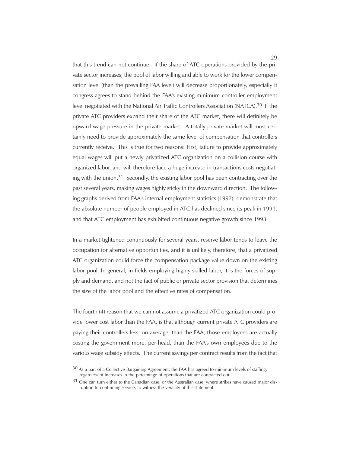that this trend can not continue. If the share of ATC operations provided by the private sector increases, the pool of labor willing and able to work for the lower compensation level (than the prevailing FAA level) will decrease proportionately, especially if congress agrees to stand behind the FAA's existing minimum controller employment level negotiated with the National Air Traffic Controllers Association (NATCA).30 If the private ATC providers expand their share of the ATC market, there will definitely be upward wage pressure in the private market. A totally private market will most certainly need to provide approximately the same level of compensation that controllers currently receive. This is true for two reasons: First, failure to provide approximately equal wages will put a newly privatized ATC organization on a collision course with organized labor, and will therefore face a huge increase in transactions costs negotiating with the union.<sup>31</sup> Secondly, the existing labor pool has been contracting over the past several years, making wages highly sticky in the downward direction. The following graphs derived from FAA's internal employment statistics (1997), demonstrate that the absolute number of people employed in ATC has declined since its peak in 1991, and that ATC employment has exhibited continuous negative growth since 1993.

In a market tightened continuously for several years, reserve labor tends to leave the occupation for alternative opportunities, and it is unlikely, therefore, that a privatized ATC organization could force the compensation package value down on the existing labor pool. In general, in fields employing highly skilled labor, it is the forces of supply and demand, and not the fact of public or private sector provision that determines the size of the labor pool and the effective rates of compensation.

The fourth (4) reason that we can not assume a privatized ATC organization could provide lower cost labor than the FAA, is that although current private ATC providers are paying their controllers less, on average, than the FAA, those employees are actually costing the government more, per-head, than the FAA's own employees due to the various wage subsidy effects. The current savings per contract results from the fact that

 $30$  As a part of a Collective Bargaining Agreement, the FAA has agreed to minimum levels of staffing, regardless of increases in the percentage of operations that are contracted out.

<sup>&</sup>lt;sup>31</sup> One can turn either to the Canadian case, or the Australian case, where strikes have caused major disruption to continuing service, to witness the veracity of this statement.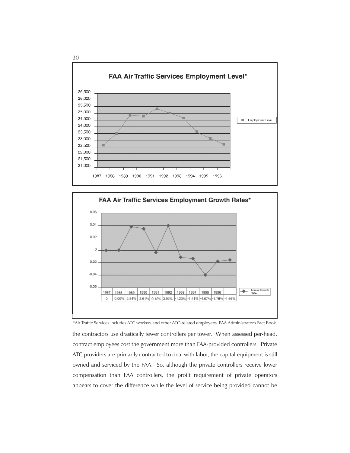



the contractors use drastically fewer controllers per tower. When assessed per-head, contract employees cost the government more than FAA-provided controllers. Private ATC providers are primarily contracted to deal with labor, the capital equipment is still owned and serviced by the FAA. So, although the private controllers receive lower compensation than FAA controllers, the profit requirement of private operators appears to cover the difference while the level of service being provided cannot be \*Air Traffic Services includes ATC workers and other ATC-related employees. FAA Administrator's Fact Book.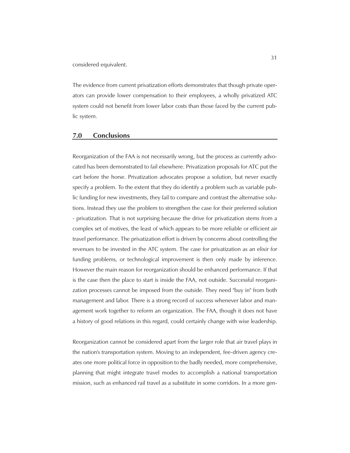considered equivalent.

The evidence from current privatization efforts demonstrates that though private operators can provide lower compensation to their employees, a wholly privatized ATC system could not benefit from lower labor costs than those faced by the current public system.

#### **7.0 Conclusions**

Reorganization of the FAA is not necessarily wrong, but the process as currently advocated has been demonstrated to fail elsewhere. Privatization proposals for ATC put the cart before the horse. Privatization advocates propose a solution, but never exactly specify a problem. To the extent that they do identify a problem such as variable public funding for new investments, they fail to compare and contrast the alternative solutions. Instead they use the problem to strengthen the case for their preferred solution - privatization. That is not surprising because the drive for privatization stems from a complex set of motives, the least of which appears to be more reliable or efficient air travel performance. The privatization effort is driven by concerns about controlling the revenues to be invested in the ATC system. The case for privatization as an elixir for funding problems, or technological improvement is then only made by inference. However the main reason for reorganization should be enhanced performance. If that is the case then the place to start is inside the FAA, not outside. Successful reorganization processes cannot be imposed from the outside. They need "buy in" from both management and labor. There is a strong record of success whenever labor and management work together to reform an organization. The FAA, though it does not have a history of good relations in this regard, could certainly change with wise leadership.

Reorganization cannot be considered apart from the larger role that air travel plays in the nation's transportation system. Moving to an independent, fee-driven agency creates one more political force in opposition to the badly needed, more comprehensive, planning that might integrate travel modes to accomplish a national transportation mission, such as enhanced rail travel as a substitute in some corridors. In a more gen